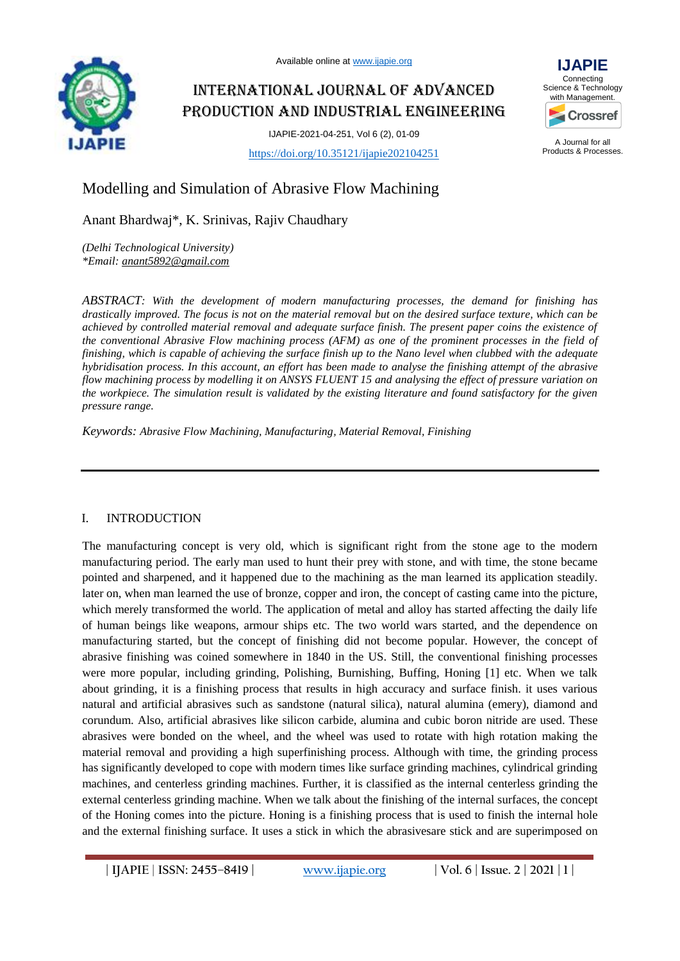

Available online at [www.ijapie.org](http://www.ijapie.org/)

# International Journal of Advanced Production and Industrial Engineering

IJAPIE-2021-04-251, Vol 6 (2), 01-09



A Journal for all Products & Processes.

<https://doi.org/10.35121/ijapie202104251>

## Modelling and Simulation of Abrasive Flow Machining

Anant Bhardwaj\*, K. Srinivas, Rajiv Chaudhary

*(Delhi Technological University) \*Email[: anant5892@gmail.com](file:///C:/Users/win/Desktop/IJAPIE/anant5892@gmail.com)*

*ABSTRACT: With the development of modern manufacturing processes, the demand for finishing has drastically improved. The focus is not on the material removal but on the desired surface texture, which can be achieved by controlled material removal and adequate surface finish. The present paper coins the existence of the conventional Abrasive Flow machining process (AFM) as one of the prominent processes in the field of finishing, which is capable of achieving the surface finish up to the Nano level when clubbed with the adequate hybridisation process. In this account, an effort has been made to analyse the finishing attempt of the abrasive flow machining process by modelling it on ANSYS FLUENT 15 and analysing the effect of pressure variation on the workpiece. The simulation result is validated by the existing literature and found satisfactory for the given pressure range.*

*Keywords: Abrasive Flow Machining, Manufacturing, Material Removal, Finishing*

## I. INTRODUCTION

The manufacturing concept is very old, which is significant right from the stone age to the modern manufacturing period. The early man used to hunt their prey with stone, and with time, the stone became pointed and sharpened, and it happened due to the machining as the man learned its application steadily. later on, when man learned the use of bronze, copper and iron, the concept of casting came into the picture, which merely transformed the world. The application of metal and alloy has started affecting the daily life of human beings like weapons, armour ships etc. The two world wars started, and the dependence on manufacturing started, but the concept of finishing did not become popular. However, the concept of abrasive finishing was coined somewhere in 1840 in the US. Still, the conventional finishing processes were more popular, including grinding, Polishing, Burnishing, Buffing, Honing [1] etc. When we talk about grinding, it is a finishing process that results in high accuracy and surface finish. it uses various natural and artificial abrasives such as sandstone (natural silica), natural alumina (emery), diamond and corundum. Also, artificial abrasives like silicon carbide, alumina and cubic boron nitride are used. These abrasives were bonded on the wheel, and the wheel was used to rotate with high rotation making the material removal and providing a high superfinishing process. Although with time, the grinding process has significantly developed to cope with modern times like surface grinding machines, cylindrical grinding machines, and centerless grinding machines. Further, it is classified as the internal centerless grinding the external centerless grinding machine. When we talk about the finishing of the internal surfaces, the concept of the Honing comes into the picture. Honing is a finishing process that is used to finish the internal hole and the external finishing surface. It uses a stick in which the abrasivesare stick and are superimposed on

**| IJAPIE** | **ISSN: 2455–8419 | [www.ijapie.org](http://www.ijapie.org/) | Vol. 6 | Issue. 2 | 2021 | 1 |**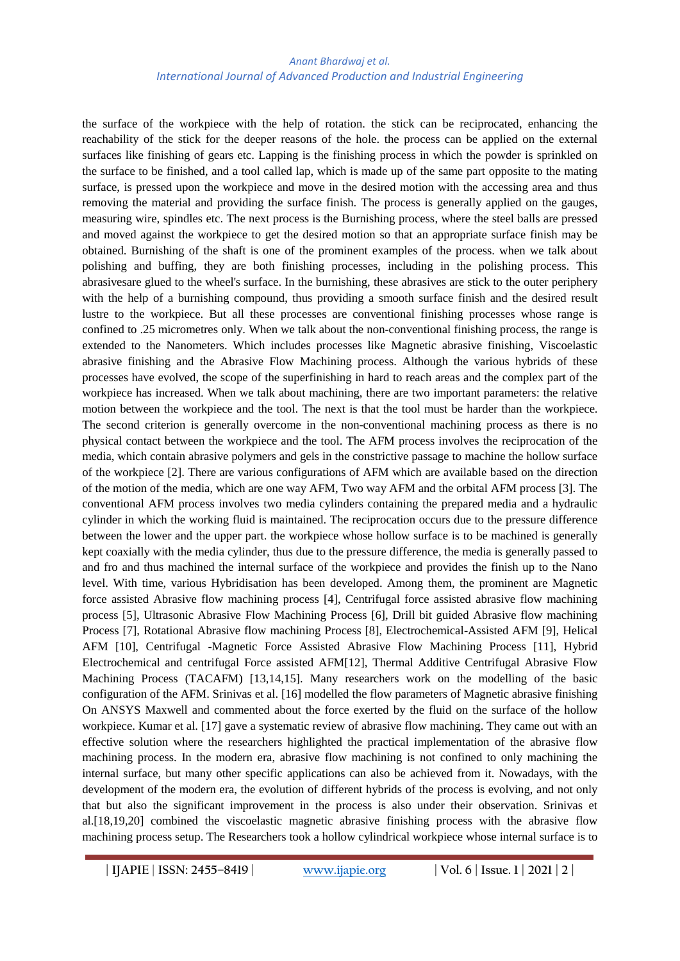the surface of the workpiece with the help of rotation. the stick can be reciprocated, enhancing the reachability of the stick for the deeper reasons of the hole. the process can be applied on the external surfaces like finishing of gears etc. Lapping is the finishing process in which the powder is sprinkled on the surface to be finished, and a tool called lap, which is made up of the same part opposite to the mating surface, is pressed upon the workpiece and move in the desired motion with the accessing area and thus removing the material and providing the surface finish. The process is generally applied on the gauges, measuring wire, spindles etc. The next process is the Burnishing process, where the steel balls are pressed and moved against the workpiece to get the desired motion so that an appropriate surface finish may be obtained. Burnishing of the shaft is one of the prominent examples of the process. when we talk about polishing and buffing, they are both finishing processes, including in the polishing process. This abrasivesare glued to the wheel's surface. In the burnishing, these abrasives are stick to the outer periphery with the help of a burnishing compound, thus providing a smooth surface finish and the desired result lustre to the workpiece. But all these processes are conventional finishing processes whose range is confined to .25 micrometres only. When we talk about the non-conventional finishing process, the range is extended to the Nanometers. Which includes processes like Magnetic abrasive finishing, Viscoelastic abrasive finishing and the Abrasive Flow Machining process. Although the various hybrids of these processes have evolved, the scope of the superfinishing in hard to reach areas and the complex part of the workpiece has increased. When we talk about machining, there are two important parameters: the relative motion between the workpiece and the tool. The next is that the tool must be harder than the workpiece. The second criterion is generally overcome in the non-conventional machining process as there is no physical contact between the workpiece and the tool. The AFM process involves the reciprocation of the media, which contain abrasive polymers and gels in the constrictive passage to machine the hollow surface of the workpiece [2]. There are various configurations of AFM which are available based on the direction of the motion of the media, which are one way AFM, Two way AFM and the orbital AFM process [3]. The conventional AFM process involves two media cylinders containing the prepared media and a hydraulic cylinder in which the working fluid is maintained. The reciprocation occurs due to the pressure difference between the lower and the upper part. the workpiece whose hollow surface is to be machined is generally kept coaxially with the media cylinder, thus due to the pressure difference, the media is generally passed to and fro and thus machined the internal surface of the workpiece and provides the finish up to the Nano level. With time, various Hybridisation has been developed. Among them, the prominent are Magnetic force assisted Abrasive flow machining process [4], Centrifugal force assisted abrasive flow machining process [5], Ultrasonic Abrasive Flow Machining Process [6], Drill bit guided Abrasive flow machining Process [7], Rotational Abrasive flow machining Process [8], Electrochemical-Assisted AFM [9], Helical AFM [10], Centrifugal -Magnetic Force Assisted Abrasive Flow Machining Process [11], Hybrid Electrochemical and centrifugal Force assisted AFM[12], Thermal Additive Centrifugal Abrasive Flow Machining Process (TACAFM) [13,14,15]. Many researchers work on the modelling of the basic configuration of the AFM. Srinivas et al. [16] modelled the flow parameters of Magnetic abrasive finishing On ANSYS Maxwell and commented about the force exerted by the fluid on the surface of the hollow workpiece. Kumar et al. [17] gave a systematic review of abrasive flow machining. They came out with an effective solution where the researchers highlighted the practical implementation of the abrasive flow machining process. In the modern era, abrasive flow machining is not confined to only machining the internal surface, but many other specific applications can also be achieved from it. Nowadays, with the development of the modern era, the evolution of different hybrids of the process is evolving, and not only that but also the significant improvement in the process is also under their observation. Srinivas et al.[18,19,20] combined the viscoelastic magnetic abrasive finishing process with the abrasive flow machining process setup. The Researchers took a hollow cylindrical workpiece whose internal surface is to

**| IJAPIE** | **ISSN: 2455–8419 | [www.ijapie.org](http://www.ijapie.org/) | Vol. 6 | Issue. 1 | 2021 | 2 |**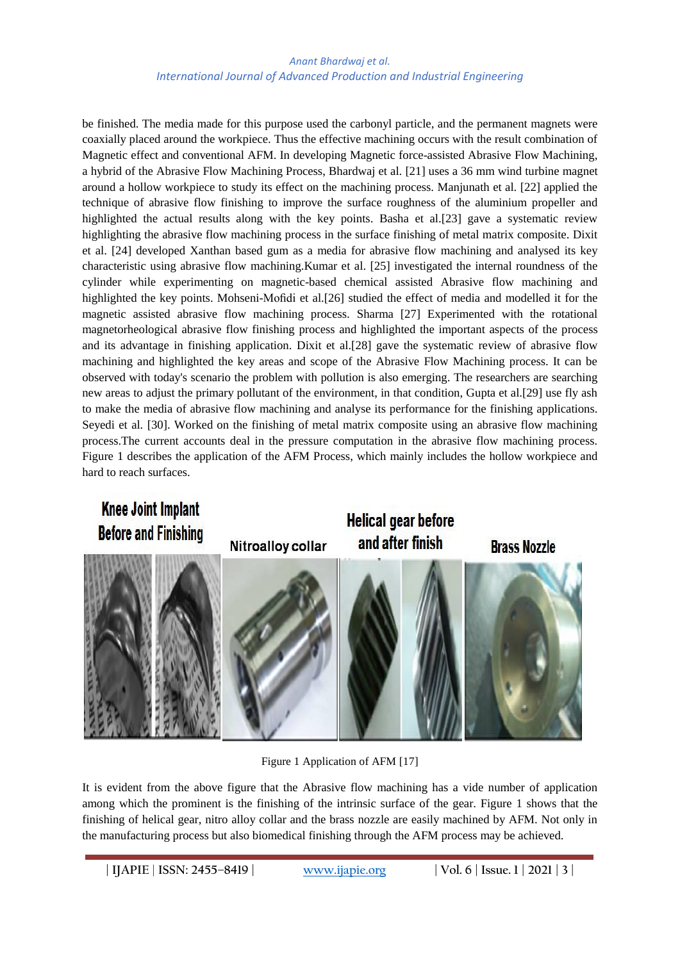be finished. The media made for this purpose used the carbonyl particle, and the permanent magnets were coaxially placed around the workpiece. Thus the effective machining occurs with the result combination of Magnetic effect and conventional AFM. In developing Magnetic force-assisted Abrasive Flow Machining, a hybrid of the Abrasive Flow Machining Process, Bhardwaj et al. [21] uses a 36 mm wind turbine magnet around a hollow workpiece to study its effect on the machining process. Manjunath et al. [22] applied the technique of abrasive flow finishing to improve the surface roughness of the aluminium propeller and highlighted the actual results along with the key points. Basha et al.[23] gave a systematic review highlighting the abrasive flow machining process in the surface finishing of metal matrix composite. Dixit et al. [24] developed Xanthan based gum as a media for abrasive flow machining and analysed its key characteristic using abrasive flow machining.Kumar et al. [25] investigated the internal roundness of the cylinder while experimenting on magnetic-based chemical assisted Abrasive flow machining and highlighted the key points. Mohseni-Mofidi et al.[26] studied the effect of media and modelled it for the magnetic assisted abrasive flow machining process. Sharma [27] Experimented with the rotational magnetorheological abrasive flow finishing process and highlighted the important aspects of the process and its advantage in finishing application. Dixit et al.[28] gave the systematic review of abrasive flow machining and highlighted the key areas and scope of the Abrasive Flow Machining process. It can be observed with today's scenario the problem with pollution is also emerging. The researchers are searching new areas to adjust the primary pollutant of the environment, in that condition, Gupta et al.[29] use fly ash to make the media of abrasive flow machining and analyse its performance for the finishing applications. Seyedi et al. [30]. Worked on the finishing of metal matrix composite using an abrasive flow machining process.The current accounts deal in the pressure computation in the abrasive flow machining process. Figure 1 describes the application of the AFM Process, which mainly includes the hollow workpiece and hard to reach surfaces.



Figure 1 Application of AFM [17]

It is evident from the above figure that the Abrasive flow machining has a vide number of application among which the prominent is the finishing of the intrinsic surface of the gear. Figure 1 shows that the finishing of helical gear, nitro alloy collar and the brass nozzle are easily machined by AFM. Not only in the manufacturing process but also biomedical finishing through the AFM process may be achieved.

**| IJAPIE** | **ISSN: 2455–8419 | [www.ijapie.org](http://www.ijapie.org/) | Vol. 6 | Issue. 1 | 2021 | 3 |**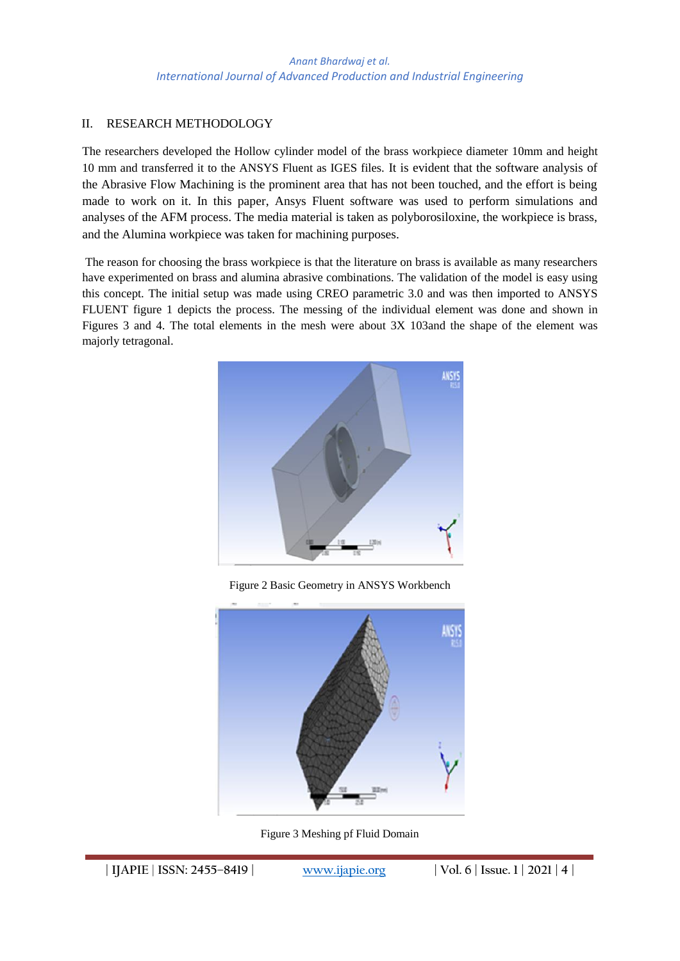## II. RESEARCH METHODOLOGY

The researchers developed the Hollow cylinder model of the brass workpiece diameter 10mm and height 10 mm and transferred it to the ANSYS Fluent as IGES files. It is evident that the software analysis of the Abrasive Flow Machining is the prominent area that has not been touched, and the effort is being made to work on it. In this paper, Ansys Fluent software was used to perform simulations and analyses of the AFM process. The media material is taken as polyborosiloxine, the workpiece is brass, and the Alumina workpiece was taken for machining purposes.

The reason for choosing the brass workpiece is that the literature on brass is available as many researchers have experimented on brass and alumina abrasive combinations. The validation of the model is easy using this concept. The initial setup was made using CREO parametric 3.0 and was then imported to ANSYS FLUENT figure 1 depicts the process. The messing of the individual element was done and shown in Figures 3 and 4. The total elements in the mesh were about 3X 103and the shape of the element was majorly tetragonal.



Figure 2 Basic Geometry in ANSYS Workbench



Figure 3 Meshing pf Fluid Domain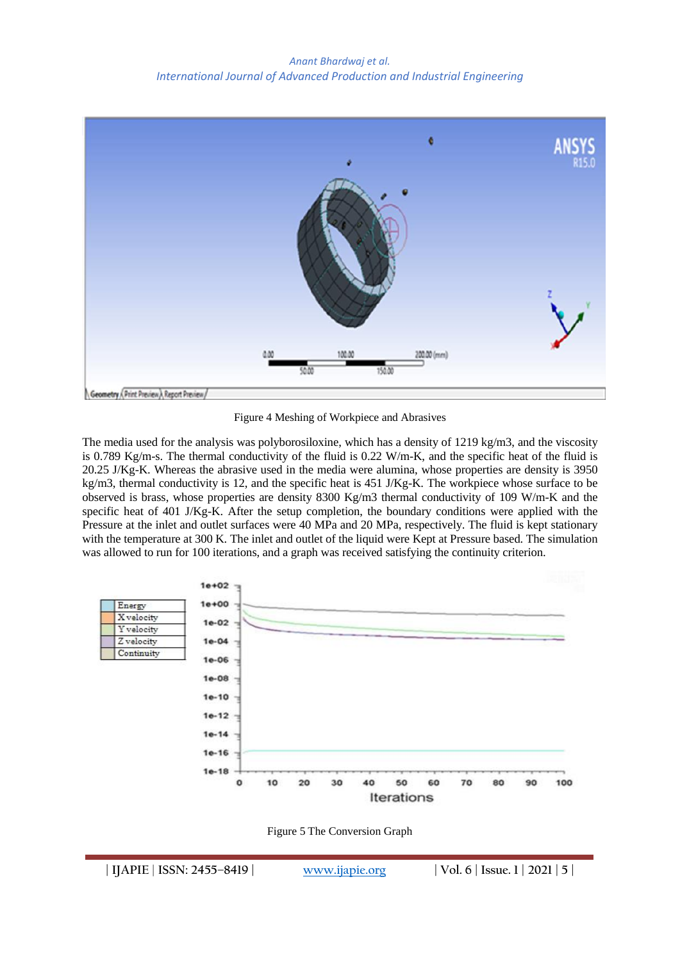

Figure 4 Meshing of Workpiece and Abrasives

The media used for the analysis was polyborosiloxine, which has a density of 1219 kg/m3, and the viscosity is 0.789 Kg/m-s. The thermal conductivity of the fluid is 0.22 W/m-K, and the specific heat of the fluid is 20.25 J/Kg-K. Whereas the abrasive used in the media were alumina, whose properties are density is 3950 kg/m3, thermal conductivity is 12, and the specific heat is 451 J/Kg-K. The workpiece whose surface to be observed is brass, whose properties are density 8300 Kg/m3 thermal conductivity of 109 W/m-K and the specific heat of 401 J/Kg-K. After the setup completion, the boundary conditions were applied with the Pressure at the inlet and outlet surfaces were 40 MPa and 20 MPa, respectively. The fluid is kept stationary with the temperature at 300 K. The inlet and outlet of the liquid were Kept at Pressure based. The simulation was allowed to run for 100 iterations, and a graph was received satisfying the continuity criterion.



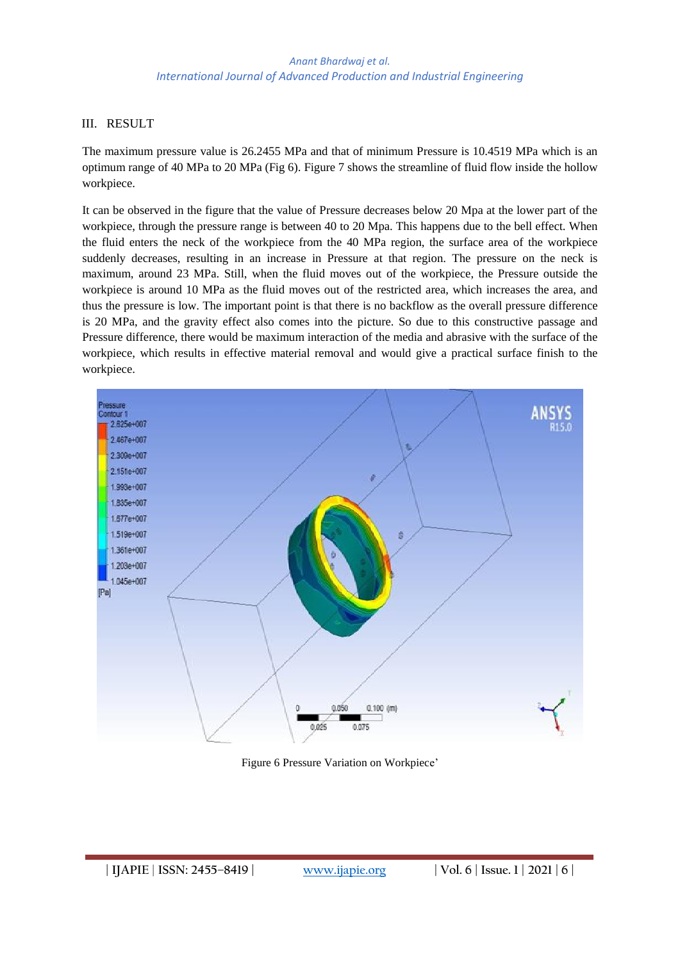### III. RESULT

The maximum pressure value is 26.2455 MPa and that of minimum Pressure is 10.4519 MPa which is an optimum range of 40 MPa to 20 MPa (Fig 6). Figure 7 shows the streamline of fluid flow inside the hollow workpiece.

It can be observed in the figure that the value of Pressure decreases below 20 Mpa at the lower part of the workpiece, through the pressure range is between 40 to 20 Mpa. This happens due to the bell effect. When the fluid enters the neck of the workpiece from the 40 MPa region, the surface area of the workpiece suddenly decreases, resulting in an increase in Pressure at that region. The pressure on the neck is maximum, around 23 MPa. Still, when the fluid moves out of the workpiece, the Pressure outside the workpiece is around 10 MPa as the fluid moves out of the restricted area, which increases the area, and thus the pressure is low. The important point is that there is no backflow as the overall pressure difference is 20 MPa, and the gravity effect also comes into the picture. So due to this constructive passage and Pressure difference, there would be maximum interaction of the media and abrasive with the surface of the workpiece, which results in effective material removal and would give a practical surface finish to the workpiece.



Figure 6 Pressure Variation on Workpiece'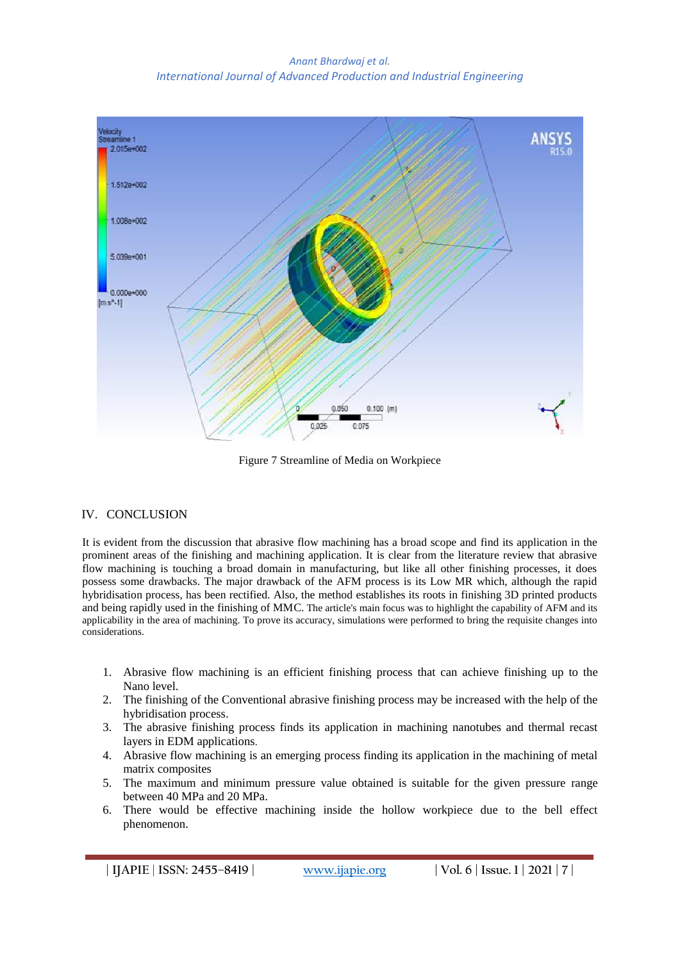

Figure 7 Streamline of Media on Workpiece

## IV. CONCLUSION

It is evident from the discussion that abrasive flow machining has a broad scope and find its application in the prominent areas of the finishing and machining application. It is clear from the literature review that abrasive flow machining is touching a broad domain in manufacturing, but like all other finishing processes, it does possess some drawbacks. The major drawback of the AFM process is its Low MR which, although the rapid hybridisation process, has been rectified. Also, the method establishes its roots in finishing 3D printed products and being rapidly used in the finishing of MMC. The article's main focus was to highlight the capability of AFM and its applicability in the area of machining. To prove its accuracy, simulations were performed to bring the requisite changes into considerations.

- 1. Abrasive flow machining is an efficient finishing process that can achieve finishing up to the Nano level.
- 2. The finishing of the Conventional abrasive finishing process may be increased with the help of the hybridisation process.
- 3. The abrasive finishing process finds its application in machining nanotubes and thermal recast layers in EDM applications.
- 4. Abrasive flow machining is an emerging process finding its application in the machining of metal matrix composites
- 5. The maximum and minimum pressure value obtained is suitable for the given pressure range between 40 MPa and 20 MPa.
- 6. There would be effective machining inside the hollow workpiece due to the bell effect phenomenon.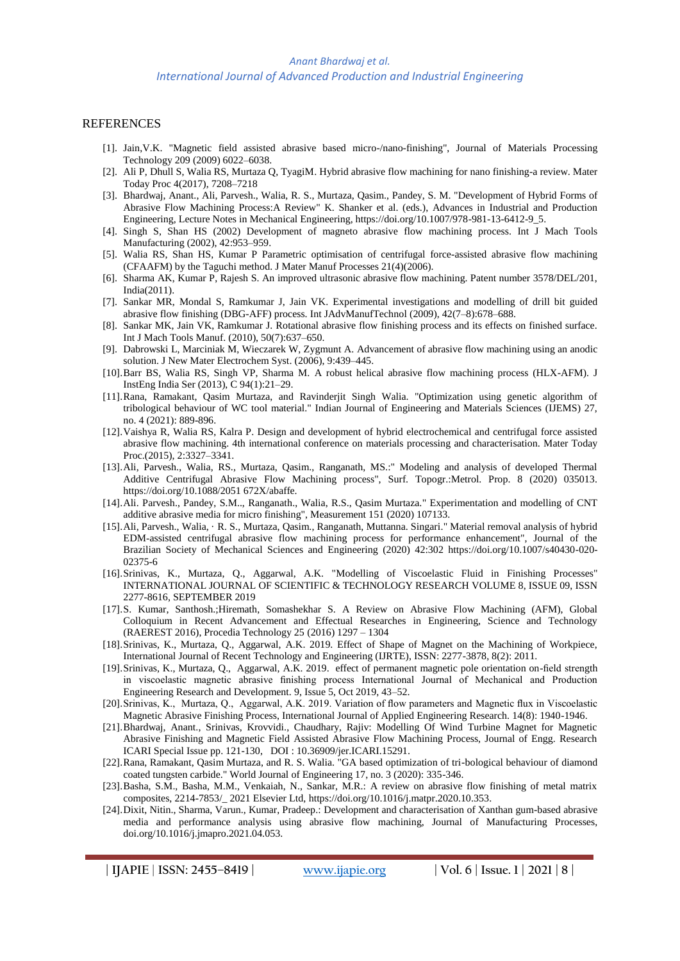#### REFERENCES

- [1]. Jain,V.K. "Magnetic field assisted abrasive based micro-/nano-finishing", Journal of Materials Processing Technology 209 (2009) 6022–6038.
- [2]. Ali P, Dhull S, Walia RS, Murtaza Q, TyagiM. Hybrid abrasive flow machining for nano finishing-a review. Mater Today Proc 4(2017), 7208–7218
- [3]. Bhardwaj, Anant., Ali, Parvesh., Walia, R. S., Murtaza, Qasim., Pandey, S. M. "Development of Hybrid Forms of Abrasive Flow Machining Process:A Review" K. Shanker et al. (eds.), Advances in Industrial and Production Engineering, Lecture Notes in Mechanical Engineering, https://doi.org/10.1007/978-981-13-6412-9\_5.
- [4]. Singh S, Shan HS (2002) Development of magneto abrasive flow machining process. Int J Mach Tools Manufacturing (2002), 42:953–959.
- [5]. Walia RS, Shan HS, Kumar P Parametric optimisation of centrifugal force-assisted abrasive flow machining (CFAAFM) by the Taguchi method. J Mater Manuf Processes 21(4)(2006).
- [6]. Sharma AK, Kumar P, Rajesh S. An improved ultrasonic abrasive flow machining. Patent number 3578/DEL/201, India(2011).
- [7]. Sankar MR, Mondal S, Ramkumar J, Jain VK. Experimental investigations and modelling of drill bit guided abrasive flow finishing (DBG-AFF) process. Int JAdvManufTechnol (2009), 42(7–8):678–688.
- [8]. Sankar MK, Jain VK, Ramkumar J. Rotational abrasive flow finishing process and its effects on finished surface. Int J Mach Tools Manuf. (2010), 50(7):637–650.
- [9]. Dabrowski L, Marciniak M, Wieczarek W, Zygmunt A. Advancement of abrasive flow machining using an anodic solution. J New Mater Electrochem Syst. (2006), 9:439–445.
- [10].Barr BS, Walia RS, Singh VP, Sharma M. A robust helical abrasive flow machining process (HLX-AFM). J InstEng India Ser (2013), C 94(1):21–29.
- [11].Rana, Ramakant, Qasim Murtaza, and Ravinderjit Singh Walia. "Optimization using genetic algorithm of tribological behaviour of WC tool material." Indian Journal of Engineering and Materials Sciences (IJEMS) 27, no. 4 (2021): 889-896.
- [12].Vaishya R, Walia RS, Kalra P. Design and development of hybrid electrochemical and centrifugal force assisted abrasive flow machining. 4th international conference on materials processing and characterisation. Mater Today Proc.(2015), 2:3327–3341.
- [13].Ali, Parvesh., Walia, RS., Murtaza, Qasim., Ranganath, MS.:" Modeling and analysis of developed Thermal Additive Centrifugal Abrasive Flow Machining process", Surf. Topogr.:Metrol. Prop. 8 (2020) 035013. https://doi.org/10.1088/2051 672X/abaffe.
- [14].Ali. Parvesh., Pandey, S.M.., Ranganath., Walia, R.S., Qasim Murtaza." Experimentation and modelling of CNT additive abrasive media for micro finishing", Measurement 151 (2020) 107133.
- [15].Ali, Parvesh., Walia, · R. S., Murtaza, Qasim., Ranganath, Muttanna. Singari." Material removal analysis of hybrid EDM‑assisted centrifugal abrasive flow machining process for performance enhancement", Journal of the Brazilian Society of Mechanical Sciences and Engineering (2020) 42:302 https://doi.org/10.1007/s40430-020- 02375-6
- [16].Srinivas, K., Murtaza, Q., Aggarwal, A.K. "Modelling of Viscoelastic Fluid in Finishing Processes" INTERNATIONAL JOURNAL OF SCIENTIFIC & TECHNOLOGY RESEARCH VOLUME 8, ISSUE 09, ISSN 2277-8616, SEPTEMBER 2019
- [17].S. Kumar, Santhosh.;Hiremath, Somashekhar S. A Review on Abrasive Flow Machining (AFM), Global Colloquium in Recent Advancement and Effectual Researches in Engineering, Science and Technology (RAEREST 2016), Procedia Technology 25 (2016) 1297 – 1304
- [18].Srinivas, K., Murtaza, Q., Aggarwal, A.K. 2019. Effect of Shape of Magnet on the Machining of Workpiece, International Journal of Recent Technology and Engineering (IJRTE), ISSN: 2277-3878, 8(2): 2011.
- [19].Srinivas, K., Murtaza, Q., Aggarwal, A.K. 2019. effect of permanent magnetic pole orientation on-field strength in viscoelastic magnetic abrasive finishing process International Journal of Mechanical and Production Engineering Research and Development. 9, Issue 5, Oct 2019, 43–52.
- [20].Srinivas, K., Murtaza, Q., Aggarwal, A.K. 2019. Variation of flow parameters and Magnetic flux in Viscoelastic Magnetic Abrasive Finishing Process, International Journal of Applied Engineering Research. 14(8): 1940-1946.
- [21].Bhardwaj, Anant., Srinivas, Krovvidi., Chaudhary, Rajiv: Modelling Of Wind Turbine Magnet for Magnetic Abrasive Finishing and Magnetic Field Assisted Abrasive Flow Machining Process, Journal of Engg. Research ICARI Special Issue pp. 121-130, DOI : 10.36909/jer.ICARI.15291.
- [22].Rana, Ramakant, Qasim Murtaza, and R. S. Walia. "GA based optimization of tri-bological behaviour of diamond coated tungsten carbide." World Journal of Engineering 17, no. 3 (2020): 335-346.
- [23].Basha, S.M., Basha, M.M., Venkaiah, N., Sankar, M.R.: A review on abrasive flow finishing of metal matrix composites, 2214-7853/\_ 2021 Elsevier Ltd, [https://doi.org/10.1016/j.matpr.2020.10.353.](https://doi.org/10.1016/j.matpr.2020.10.353)
- [24].Dixit, Nitin., Sharma, Varun., Kumar, Pradeep.: Development and characterisation of Xanthan gum-based abrasive media and performance analysis using abrasive flow machining, Journal of Manufacturing Processes, doi.org/10.1016/j.jmapro.2021.04.053.

**| IJAPIE** | **ISSN: 2455–8419 | [www.ijapie.org](http://www.ijapie.org/) | Vol. 6 | Issue. 1 | 2021 | 8 |**